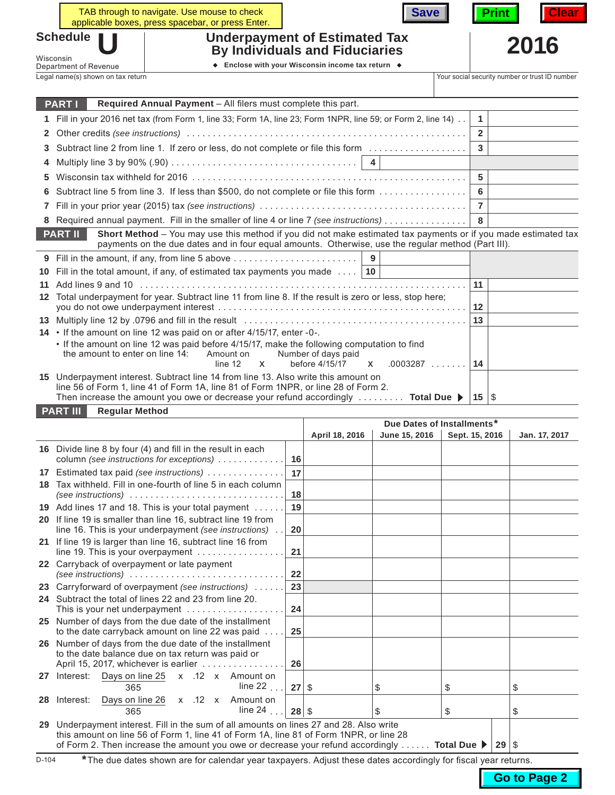|                                                                                                                                                                                                                                        |                                                                                                                                                                                                                                                                          | TAB through to navigate. Use mouse to check<br>applicable boxes, press spacebar, or press Enter. |              | <b>Save</b>                                    |    | <b>Print</b> | <b>Clear</b> |
|----------------------------------------------------------------------------------------------------------------------------------------------------------------------------------------------------------------------------------------|--------------------------------------------------------------------------------------------------------------------------------------------------------------------------------------------------------------------------------------------------------------------------|--------------------------------------------------------------------------------------------------|--------------|------------------------------------------------|----|--------------|--------------|
| <b>Schedule</b><br><b>Underpayment of Estimated Tax</b>                                                                                                                                                                                |                                                                                                                                                                                                                                                                          |                                                                                                  |              |                                                |    |              | 2016         |
| <b>By Individuals and Fiduciaries</b><br>Wisconsin                                                                                                                                                                                     |                                                                                                                                                                                                                                                                          |                                                                                                  |              |                                                |    |              |              |
|                                                                                                                                                                                                                                        | Department of Revenue                                                                                                                                                                                                                                                    |                                                                                                  |              |                                                |    |              |              |
|                                                                                                                                                                                                                                        | Legal name(s) shown on tax return                                                                                                                                                                                                                                        |                                                                                                  |              | Your social security number or trust ID number |    |              |              |
|                                                                                                                                                                                                                                        | <b>PARTI</b>                                                                                                                                                                                                                                                             | Required Annual Payment - All filers must complete this part.                                    |              |                                                |    |              |              |
| 1                                                                                                                                                                                                                                      |                                                                                                                                                                                                                                                                          |                                                                                                  | $\mathbf{1}$ |                                                |    |              |              |
| $\mathbf{2}$                                                                                                                                                                                                                           | Fill in your 2016 net tax (from Form 1, line 33; Form 1A, line 23; Form 1NPR, line 59; or Form 2, line 14)                                                                                                                                                               |                                                                                                  |              |                                                |    |              |              |
| 3                                                                                                                                                                                                                                      | Subtract line 2 from line 1. If zero or less, do not complete or file this form                                                                                                                                                                                          |                                                                                                  |              |                                                |    |              |              |
| 4                                                                                                                                                                                                                                      |                                                                                                                                                                                                                                                                          |                                                                                                  |              |                                                |    |              |              |
| 5                                                                                                                                                                                                                                      |                                                                                                                                                                                                                                                                          |                                                                                                  |              |                                                |    |              |              |
| 6                                                                                                                                                                                                                                      | Subtract line 5 from line 3. If less than \$500, do not complete or file this form                                                                                                                                                                                       |                                                                                                  |              |                                                |    |              |              |
|                                                                                                                                                                                                                                        |                                                                                                                                                                                                                                                                          |                                                                                                  |              |                                                |    |              |              |
|                                                                                                                                                                                                                                        | 8 Required annual payment. Fill in the smaller of line 4 or line 7 (see instructions)                                                                                                                                                                                    |                                                                                                  |              |                                                |    |              |              |
| Short Method - You may use this method if you did not make estimated tax payments or if you made estimated tax<br><b>PART II</b><br>payments on the due dates and in four equal amounts. Otherwise, use the regular method (Part III). |                                                                                                                                                                                                                                                                          |                                                                                                  |              |                                                |    |              |              |
|                                                                                                                                                                                                                                        |                                                                                                                                                                                                                                                                          | 9 Fill in the amount, if any, from line 5 above                                                  |              | 9                                              |    |              |              |
| 10                                                                                                                                                                                                                                     |                                                                                                                                                                                                                                                                          | Fill in the total amount, if any, of estimated tax payments you made $\dots$   10                |              |                                                |    |              |              |
| 11                                                                                                                                                                                                                                     |                                                                                                                                                                                                                                                                          |                                                                                                  |              |                                                | 11 |              |              |
| 12                                                                                                                                                                                                                                     | Total underpayment for year. Subtract line 11 from line 8. If the result is zero or less, stop here;                                                                                                                                                                     |                                                                                                  |              |                                                |    |              |              |
|                                                                                                                                                                                                                                        |                                                                                                                                                                                                                                                                          |                                                                                                  |              |                                                |    |              |              |
|                                                                                                                                                                                                                                        | 14 • If the amount on line 12 was paid on or after 4/15/17, enter -0-.                                                                                                                                                                                                   |                                                                                                  |              |                                                |    |              |              |
|                                                                                                                                                                                                                                        | • If the amount on line 12 was paid before 4/15/17, make the following computation to find<br>the amount to enter on line 14:<br>Number of days paid<br>Amount on<br>$.0003287$<br>before 4/15/17<br>line 12<br>$\mathsf{x}$<br><b>X</b>                                 |                                                                                                  |              |                                                |    |              |              |
|                                                                                                                                                                                                                                        | 15 Underpayment interest. Subtract line 14 from line 13. Also write this amount on<br>line 56 of Form 1, line 41 of Form 1A, line 81 of Form 1NPR, or line 28 of Form 2.<br>Then increase the amount you owe or decrease your refund accordingly $\dots \dots$ Total Due |                                                                                                  |              |                                                |    | 15   $$$     |              |
|                                                                                                                                                                                                                                        | <b>PART III</b><br><b>Regular Method</b>                                                                                                                                                                                                                                 |                                                                                                  |              |                                                |    |              |              |

|    |                                                                                                                                                                                                                                                                                                                 |         | April 18, 2016 | June 15, 2016 | Sept. 15, 2016 | Jan. 17, 2017 |
|----|-----------------------------------------------------------------------------------------------------------------------------------------------------------------------------------------------------------------------------------------------------------------------------------------------------------------|---------|----------------|---------------|----------------|---------------|
|    | 16 Divide line 8 by four (4) and fill in the result in each<br>column (see instructions for exceptions)                                                                                                                                                                                                         | 16      |                |               |                |               |
| 17 | Estimated tax paid (see instructions)                                                                                                                                                                                                                                                                           |         |                |               |                |               |
| 18 | Tax withheld. Fill in one-fourth of line 5 in each column<br>(see instructions)                                                                                                                                                                                                                                 | 18      |                |               |                |               |
| 19 | Add lines 17 and 18. This is your total payment                                                                                                                                                                                                                                                                 | 19      |                |               |                |               |
|    | 20 If line 19 is smaller than line 16, subtract line 19 from<br>line 16. This is your underpayment (see instructions)                                                                                                                                                                                           | 20      |                |               |                |               |
| 21 | If line 19 is larger than line 16, subtract line 16 from<br>line 19. This is your overpayment                                                                                                                                                                                                                   | 21      |                |               |                |               |
|    | 22 Carryback of overpayment or late payment                                                                                                                                                                                                                                                                     | 22      |                |               |                |               |
| 23 | Carryforward of overpayment (see instructions)                                                                                                                                                                                                                                                                  | 23      |                |               |                |               |
|    | 24 Subtract the total of lines 22 and 23 from line 20.<br>This is your net underpayment $\ldots \ldots \ldots \ldots \ldots$                                                                                                                                                                                    | 24      |                |               |                |               |
|    | 25 Number of days from the due date of the installment<br>to the date carryback amount on line 22 was paid                                                                                                                                                                                                      | 25      |                |               |                |               |
|    | 26 Number of days from the due date of the installment<br>to the date balance due on tax return was paid or<br>April 15, 2017, whichever is earlier                                                                                                                                                             | 26      |                |               |                |               |
| 27 | Interest: Days on line 25 x .12 x Amount on<br>line $22$<br>365                                                                                                                                                                                                                                                 | 27      | \$             | \$            | \$             | \$            |
| 28 | Days on line 26 x .12 x Amount on<br>Interest:<br>line 24 $\dots$<br>365                                                                                                                                                                                                                                        | $28$ \$ |                | \$            | \$             | \$            |
| 29 | Underpayment interest. Fill in the sum of all amounts on lines 27 and 28. Also write<br>this amount on line 56 of Form 1, line 41 of Form 1A, line 81 of Form 1NPR, or line 28<br>of Form 2. Then increase the amount you owe or decrease your refund accordingly  Total Due $\blacktriangleright$<br>$29$ \ \$ |         |                |               |                |               |

D-104 **\***The due dates shown are for calendar year taxpayers. Adjust these dates accordingly for fiscal year returns.